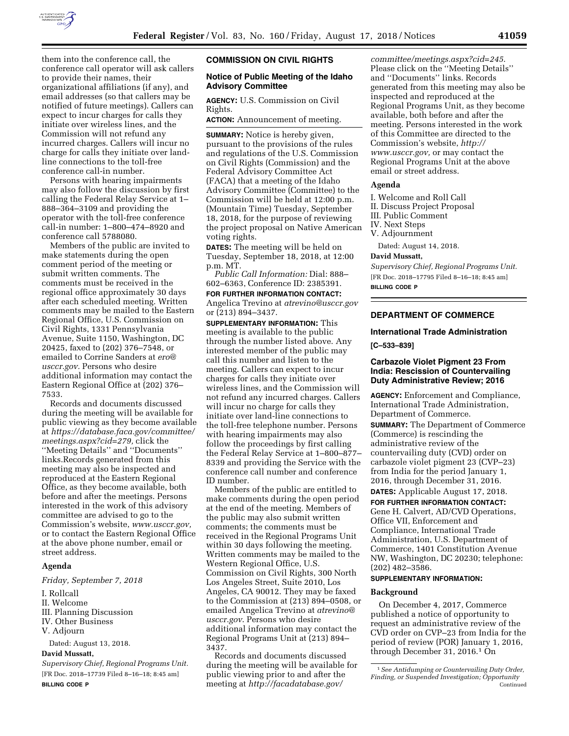

them into the conference call, the conference call operator will ask callers to provide their names, their organizational affiliations (if any), and email addresses (so that callers may be notified of future meetings). Callers can expect to incur charges for calls they initiate over wireless lines, and the Commission will not refund any incurred charges. Callers will incur no charge for calls they initiate over landline connections to the toll-free conference call-in number.

Persons with hearing impairments may also follow the discussion by first calling the Federal Relay Service at 1– 888–364–3109 and providing the operator with the toll-free conference call-in number: 1–800–474–8920 and conference call 5788080.

Members of the public are invited to make statements during the open comment period of the meeting or submit written comments. The comments must be received in the regional office approximately 30 days after each scheduled meeting. Written comments may be mailed to the Eastern Regional Office, U.S. Commission on Civil Rights, 1331 Pennsylvania Avenue, Suite 1150, Washington, DC 20425, faxed to (202) 376–7548, or emailed to Corrine Sanders at *[ero@](mailto:ero@usccr.gov) [usccr.gov.](mailto:ero@usccr.gov)* Persons who desire additional information may contact the Eastern Regional Office at (202) 376– 7533.

Records and documents discussed during the meeting will be available for public viewing as they become available at *[https://database.faca.gov/committee/](https://database.faca.gov/committee/meetings.aspx?cid=279)  [meetings.aspx?cid=279,](https://database.faca.gov/committee/meetings.aspx?cid=279)* click the ''Meeting Details'' and ''Documents'' links.Records generated from this meeting may also be inspected and reproduced at the Eastern Regional Office, as they become available, both before and after the meetings. Persons interested in the work of this advisory committee are advised to go to the Commission's website, *[www.usccr.gov,](http://www.usccr.gov)*  or to contact the Eastern Regional Office at the above phone number, email or street address.

### **Agenda**

*Friday, September 7, 2018* 

- I. Rollcall
- II. Welcome
- III. Planning Discussion
- IV. Other Business
- V. Adjourn

Dated: August 13, 2018.

# **David Mussatt,**

*Supervisory Chief, Regional Programs Unit.*  [FR Doc. 2018–17739 Filed 8–16–18; 8:45 am] **BILLING CODE P** 

### **COMMISSION ON CIVIL RIGHTS**

### **Notice of Public Meeting of the Idaho Advisory Committee**

**AGENCY:** U.S. Commission on Civil Rights.

**ACTION:** Announcement of meeting.

**SUMMARY:** Notice is hereby given, pursuant to the provisions of the rules and regulations of the U.S. Commission on Civil Rights (Commission) and the Federal Advisory Committee Act (FACA) that a meeting of the Idaho Advisory Committee (Committee) to the Commission will be held at 12:00 p.m. (Mountain Time) Tuesday, September 18, 2018, for the purpose of reviewing the project proposal on Native American voting rights.

**DATES:** The meeting will be held on Tuesday, September 18, 2018, at 12:00 p.m. MT.

*Public Call Information:* Dial: 888– 602–6363, Conference ID: 2385391.

**FOR FURTHER INFORMATION CONTACT:**  Angelica Trevino at *[atrevino@usccr.gov](mailto:atrevino@usccr.gov)*  or (213) 894–3437.

**SUPPLEMENTARY INFORMATION:** This meeting is available to the public through the number listed above. Any interested member of the public may call this number and listen to the meeting. Callers can expect to incur charges for calls they initiate over wireless lines, and the Commission will not refund any incurred charges. Callers will incur no charge for calls they initiate over land-line connections to the toll-free telephone number. Persons with hearing impairments may also follow the proceedings by first calling the Federal Relay Service at 1–800–877– 8339 and providing the Service with the conference call number and conference ID number.

Members of the public are entitled to make comments during the open period at the end of the meeting. Members of the public may also submit written comments; the comments must be received in the Regional Programs Unit within 30 days following the meeting. Written comments may be mailed to the Western Regional Office, U.S. Commission on Civil Rights, 300 North Los Angeles Street, Suite 2010, Los Angeles, CA 90012. They may be faxed to the Commission at (213) 894–0508, or emailed Angelica Trevino at *[atrevino@](mailto:atrevino@usccr.gov) [usccr.gov](mailto:atrevino@usccr.gov)*. Persons who desire additional information may contact the Regional Programs Unit at (213) 894– 3437.

Records and documents discussed during the meeting will be available for public viewing prior to and after the meeting at *[http://facadatabase.gov/](http://facadatabase.gov/committee/meetings.aspx?cid=245)* 

*[committee/meetings.aspx?cid=245](http://facadatabase.gov/committee/meetings.aspx?cid=245)*. Please click on the ''Meeting Details'' and ''Documents'' links. Records generated from this meeting may also be inspected and reproduced at the Regional Programs Unit, as they become available, both before and after the meeting. Persons interested in the work of this Committee are directed to the Commission's website, *[http://](http://www.usccr.gov) [www.usccr.gov,](http://www.usccr.gov)* or may contact the Regional Programs Unit at the above email or street address.

## **Agenda**

I. Welcome and Roll Call II. Discuss Project Proposal III. Public Comment IV. Next Steps V. Adjournment Dated: August 14, 2018.

#### **David Mussatt,**

*Supervisory Chief, Regional Programs Unit.*  [FR Doc. 2018–17795 Filed 8–16–18; 8:45 am] **BILLING CODE P** 

### **DEPARTMENT OF COMMERCE**

### **International Trade Administration**

**[C–533–839]** 

### **Carbazole Violet Pigment 23 From India: Rescission of Countervailing Duty Administrative Review; 2016**

**AGENCY:** Enforcement and Compliance, International Trade Administration, Department of Commerce.

**SUMMARY:** The Department of Commerce (Commerce) is rescinding the administrative review of the countervailing duty (CVD) order on carbazole violet pigment 23 (CVP–23) from India for the period January 1, 2016, through December 31, 2016. **DATES:** Applicable August 17, 2018.

### **FOR FURTHER INFORMATION CONTACT:**

Gene H. Calvert, AD/CVD Operations, Office VII, Enforcement and Compliance, International Trade Administration, U.S. Department of Commerce, 1401 Constitution Avenue NW, Washington, DC 20230; telephone: (202) 482–3586.

## **SUPPLEMENTARY INFORMATION:**

#### **Background**

On December 4, 2017, Commerce published a notice of opportunity to request an administrative review of the CVD order on CVP–23 from India for the period of review (POR) January 1, 2016, through December 31, 2016.1 On

<sup>1</sup>*See Antidumping or Countervailing Duty Order, Finding, or Suspended Investigation; Opportunity*  Continued